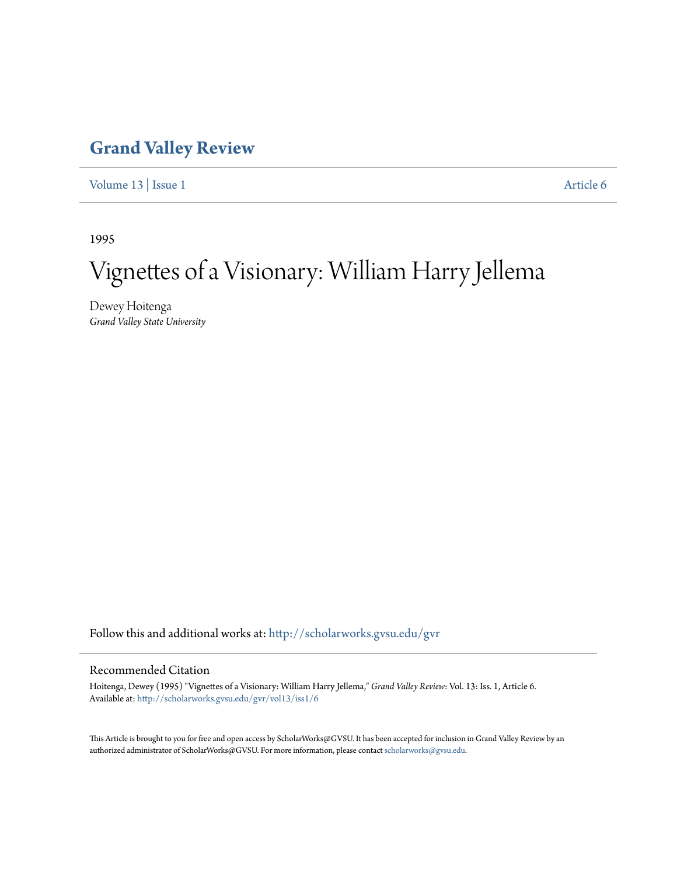## **[Grand Valley Review](http://scholarworks.gvsu.edu/gvr?utm_source=scholarworks.gvsu.edu%2Fgvr%2Fvol13%2Fiss1%2F6&utm_medium=PDF&utm_campaign=PDFCoverPages)**

[Volume 13](http://scholarworks.gvsu.edu/gvr/vol13?utm_source=scholarworks.gvsu.edu%2Fgvr%2Fvol13%2Fiss1%2F6&utm_medium=PDF&utm_campaign=PDFCoverPages) | [Issue 1](http://scholarworks.gvsu.edu/gvr/vol13/iss1?utm_source=scholarworks.gvsu.edu%2Fgvr%2Fvol13%2Fiss1%2F6&utm_medium=PDF&utm_campaign=PDFCoverPages) [Article 6](http://scholarworks.gvsu.edu/gvr/vol13/iss1/6?utm_source=scholarworks.gvsu.edu%2Fgvr%2Fvol13%2Fiss1%2F6&utm_medium=PDF&utm_campaign=PDFCoverPages)

1995

# Vignettes of a Visionary: William Harry Jellema

Dewey Hoitenga *Grand Valley State University*

Follow this and additional works at: [http://scholarworks.gvsu.edu/gvr](http://scholarworks.gvsu.edu/gvr?utm_source=scholarworks.gvsu.edu%2Fgvr%2Fvol13%2Fiss1%2F6&utm_medium=PDF&utm_campaign=PDFCoverPages)

#### Recommended Citation

Hoitenga, Dewey (1995) "Vignettes of a Visionary: William Harry Jellema," *Grand Valley Review*: Vol. 13: Iss. 1, Article 6. Available at: [http://scholarworks.gvsu.edu/gvr/vol13/iss1/6](http://scholarworks.gvsu.edu/gvr/vol13/iss1/6?utm_source=scholarworks.gvsu.edu%2Fgvr%2Fvol13%2Fiss1%2F6&utm_medium=PDF&utm_campaign=PDFCoverPages)

This Article is brought to you for free and open access by ScholarWorks@GVSU. It has been accepted for inclusion in Grand Valley Review by an authorized administrator of ScholarWorks@GVSU. For more information, please contact [scholarworks@gvsu.edu.](mailto:scholarworks@gvsu.edu)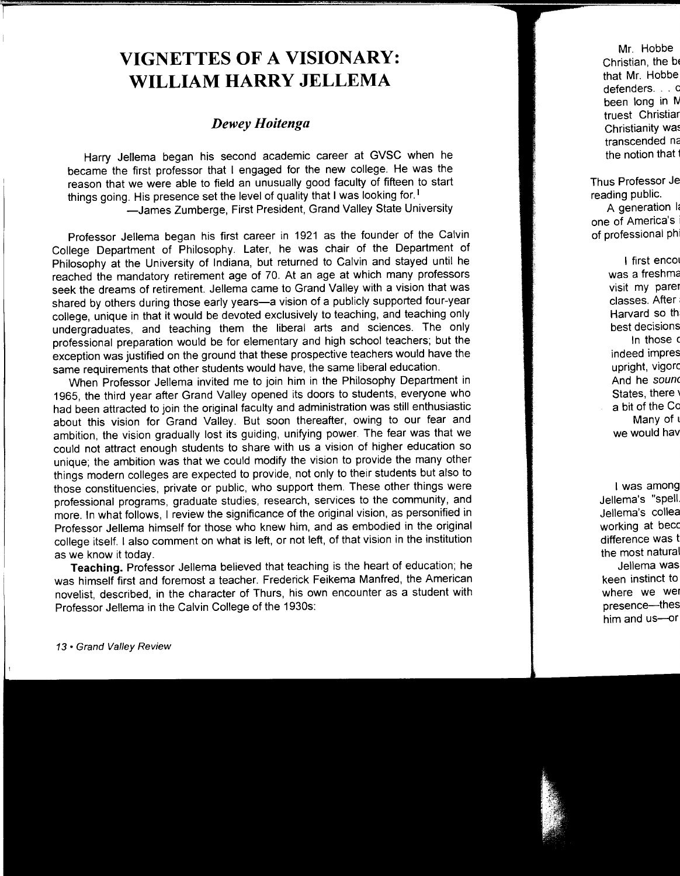## **VIGNETTES OF A VISIONARY: WILLIAM HARRY JELLEMA**

### *Dewey Hoitenga*

Harry Jellema began his second academic career at GVSC when he became the first professor that I engaged for the new college. He was the reason that we were able to field an unusually good faculty of fifteen to start things going. His presence set the level of quality that I was looking for. <sup>1</sup> -James Zumberge, First President, Grand Valley State University

Professor Jellema began his first career in 1921 as the founder of the Calvin College Department of Philosophy. Later, he was chair of the Department of Philosophy at the University of Indiana, but returned to Calvin and stayed until he reached the mandatory retirement age of 70. At an age at which many professors seek the dreams of retirement. Jellema came to Grand Valley with a vision that was shared by others during those early years-a vision of a publicly supported four-year college, unique in that it would be devoted exclusively to teaching, and teaching only undergraduates, and teaching them the liberal arts and sciences. The only professional preparation would be for elementary and high school teachers; but the exception was justified on the ground that these prospective teachers would have the same requirements that other students would have, the same liberal education.

When Professor Jellema invited me to join him in the Philosophy Department in 1965, the third year after Grand Valley opened its doors to students, everyone who had been attracted to join the original faculty and administration was still enthusiastic about this vision for Grand Valley. But soon thereafter, owing to our fear and ambition, the vision gradually lost its guiding, unifying power. The fear was that we could not attract enough students to share with us a vision of higher education so unique; the ambition was that we could modify the vision to provide the many other things modern colleges are expected to provide, not only to their students but also to those constituencies, private or public, who support them. These other things were professional programs, graduate studies, research, services to the community, and more. In what follows, I review the significance of the original vision, as personified in Professor Jellema himself for those who knew him, and as embodied in the original college itself. I also comment on what is left, or not left, of that vision in the institution as we know it today.

**Teaching.** Professor Jellema believed that teaching is the heart of education; he was himself first and foremost a teacher. Frederick Feikema Manfred, the American novelist, described, in the character of Thurs. his own encounter as a student with Professor Jellema in the Calvin College of the 1930s: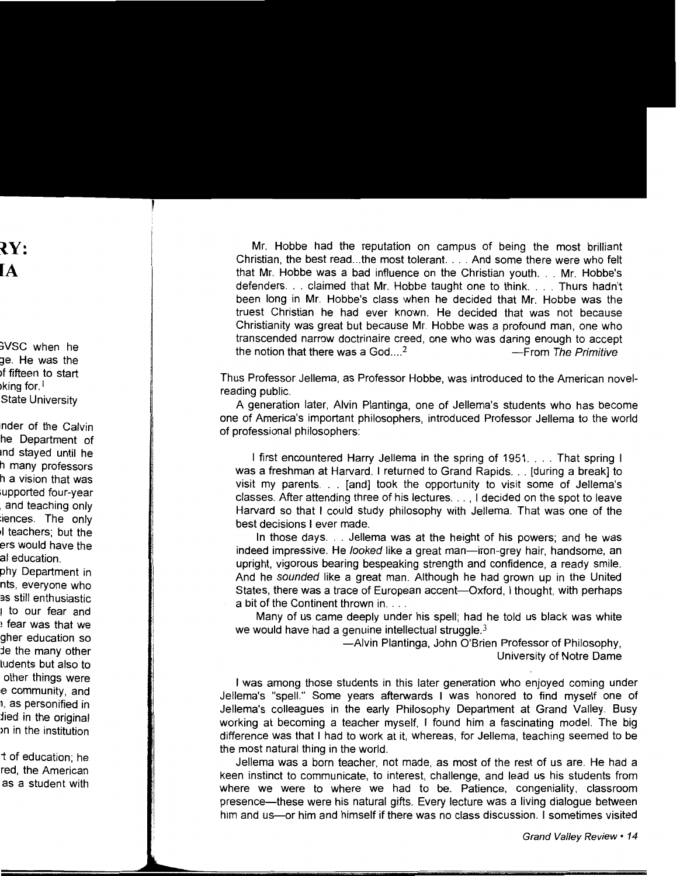Mr. Hobbe had the reputation on campus of being the most brilliant Christian, the best read...the most tolerant. . . . And some there were who felt that Mr. Hobbe was a bad influence on the Christian youth ... Mr. Hobbe's defenders. . . claimed that Mr. Hobbe taught one to think. . . . Thurs hadn't been long in Mr. Hobbe's class when he decided that Mr. Hobbe was the truest Christian he had ever known. He decided that was not because Christianity was great but because Mr. Hobbe was a profound man, one who transcended narrow doctrinaire creed, one who was daring enough to accept the notion that there was a  $God...<sup>2</sup>$   $---From The Primitive$ 

Thus Professor Jellema, as Professor Hobbe, was introduced to the American novelreading public.

A generation later, Alvin Plantinga, one of Jellema's students who has become one of America's important philosophers, introduced Professor Jellema to the world of professional philosophers:

I first encountered Harry Jellema in the spring of 1951 .... That spring I was a freshman at Harvard. I returned to Grand Rapids ... [during a break] to visit my parents ... [and] took the opportunity to visit some of Jellema's classes. After attending three of his lectures ... , I decided on the spot to leave Harvard so that I could study philosophy with Jellema. That was one of the best decisions I ever made.

In those days ... Jellema was at the height of his powers; and he was indeed impressive. He looked like a great man-iron-grey hair, handsome, an upright, vigorous bearing bespeaking strength and confidence, a ready smile. And he sounded like a great man. Although he had grown up in the United States, there was a trace of European accent—Oxford, I thought, with perhaps a bit of the Continent thrown in....

Many of us came deeply under his spell; had he told us black was white we would have had a genuine intellectual struggle. $3$ 

> -Alvin Plantinga, John O'Brien Professor of Philosophy, University of Notre Dame

I was among those students in this later generation who enjoyed coming under Jellema's "spell." Some years afterwards I was honored to find myself one of Jellema's colleagues in the early Philosophy Department at Grand Valley. Busy working at becoming a teacher myself, I found him a fascinating model. The big difference was that I had to work at it, whereas, for Jellema, teaching seemed to be the most natural thing in the world.

Jellema was a born teacher, not made, as most of the rest of us are. He had a keen instinct to communicate, to interest, challenge, and lead us his students from where we were to where we had to be. Patience, congeniality, classroom presence-these were his natural gifts. Every lecture was a living dialogue between him and us-or him and himself if there was no class discussion. I sometimes visited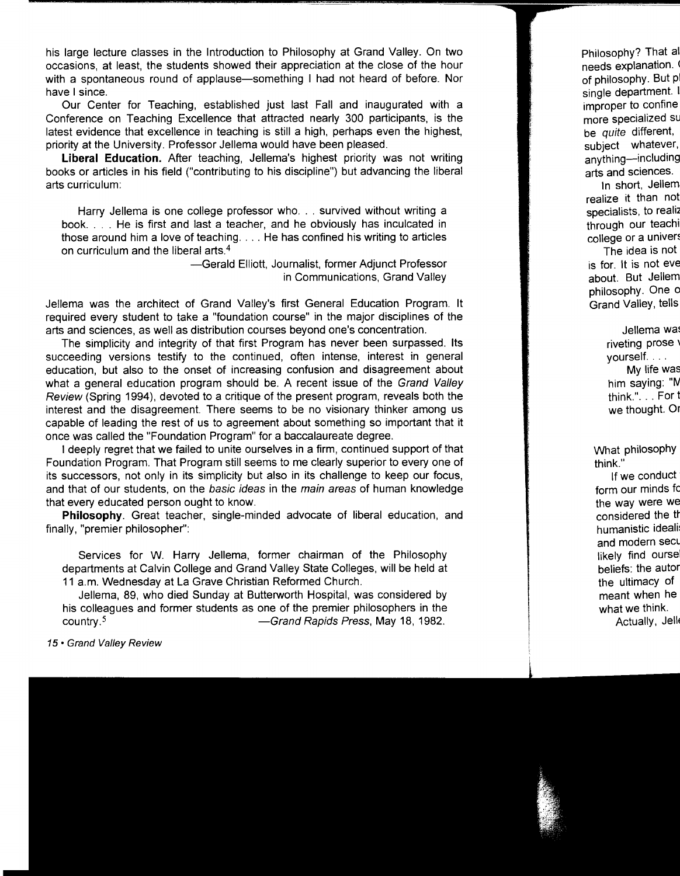his large lecture classes in the Introduction to Philosophy at Grand Valley. On two occasions, at least, the students showed their appreciation at the close of the hour with a spontaneous round of applause-something I had not heard of before. Nor have I since.

Our Center for Teaching, established just last Fall and inaugurated with a Conference on Teaching Excellence that attracted nearly 300 participants, is the latest evidence that excellence in teaching is still a high, perhaps even the highest, priority at the University. Professor Jellema would have been pleased.

**Liberal Education.** After teaching, Jellema's highest priority was not writing books or articles in his field ("contributing to his discipline") but advancing the liberal arts curriculum:

Harry Jellema is one college professor who. . . survived without writing a book .... He is first and last a teacher, and he obviously has inculcated in those around him a love of teaching .... He has confined his writing to articles on curriculum and the liberal arts. 4

> -Gerald Elliott, Journalist, former Adjunct Professor in Communications, Grand Valley

Jellema was the architect of Grand Valley's first General Education Program. It required every student to take a "foundation course" in the major disciplines of the arts and sciences, as well as distribution courses beyond one's concentration.

The simplicity and integrity of that first Program has never been surpassed. Its succeeding versions testify to the continued, often intense, interest in general education, but also to the onset of increasing confusion and disagreement about what a general education program should be. A recent issue of the Grand Valley Review (Spring 1994), devoted to a critique of the present program, reveals both the interest and the disagreement. There seems to be no visionary thinker among us capable of leading the rest of us to agreement about something so important that it once was called the "Foundation Program" for a baccalaureate degree.

I deeply regret that we failed to unite ourselves in a firm, continued support of that Foundation Program. That Program still seems to me clearly superior to every one of its successors, not only in its simplicity but also in its challenge to keep our focus, and that of our students, on the basic ideas in the main areas of human knowledge that every educated person ought to know.

**Philosophy.** Great teacher, single-minded advocate of liberal education, and finally, "premier philosopher":

Services for W. Harry Jellema, former chairman of the Philosophy departments at Calvin College and Grand Valley State Colleges, will be held at 11 a.m. Wednesday at La Grave Christian Reformed Church.

Jellema, 89, who died Sunday at Butterworth Hospital, was considered by his colleagues and former students as one of the premier philosophers in the country.<sup>5</sup> country.<sup>5</sup> - Grand Rapids Press, May 18, 1982.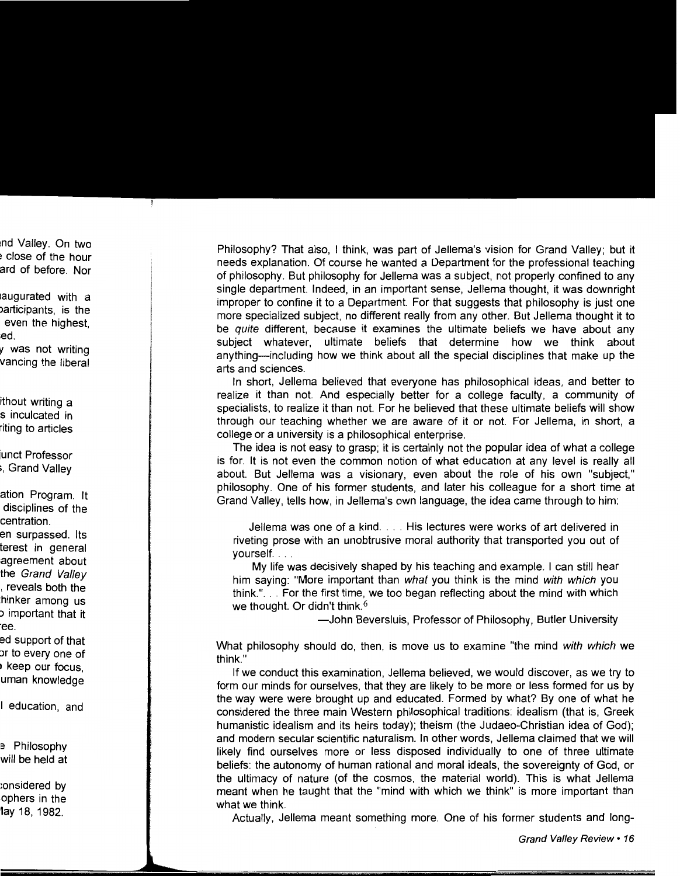Philosophy? That also, I think, was part of Jellema's vision for Grand Valley; but it needs explanation. Of course he wanted a Department for the professional teaching of philosophy. But philosophy for Jellema was a subject, not properly confined to any single department. Indeed, in an important sense, Jellema thought, it was downright improper to confine it to a Department. For that suggests that philosophy is just one more specialized subject, no different really from any other. But Jellema thought it to be quite different, because it examines the ultimate beliefs we have about any subject whatever, ultimate beliefs that determine how we think about anything-including how we think about all the special disciplines that make up the arts and sciences.

In short, Jellema believed that everyone has philosophical ideas, and better to realize it than not. And especially better for a college faculty, a community of specialists, to realize it than not. For he believed that these ultimate beliefs will show through our teaching whether we are aware of it or not. For Jellema, in short, a college or a university is a philosophical enterprise.

The idea is not easy to grasp; it is certainly not the popular idea of what a college is for. It is not even the common notion of what education at any level is really all about. But Jellema was a visionary, even about the role of his own "subject," philosophy. One of his former students, and later his colleague for a short time at Grand Valley, tells how, in Jellema's own language, the idea came through to him:

Jellema was one of a kind .... His lectures were works of art delivered in riveting prose with an unobtrusive moral authority that transported you out of yourself. ...

My life was decisively shaped by his teaching and example. I can still hear him saying: "More important than what you think is the mind with which you think." ... For the first time, we too began reflecting about the mind with which we thought. Or didn't think.<sup>6</sup>

—John Beversluis, Professor of Philosophy, Butler University

What philosophy should do, then, is move us to examine "the mind with which we think."

If we conduct this examination, Jellema believed, we would discover, as we try to form our minds for ourselves, that they are likely to be more or less formed for us by the way were were brought up and educated. Formed by what? By one of what he considered the three main Western philosophical traditions: idealism (that is, Greek humanistic idealism and its heirs today); theism (the Judaeo-Christian idea of God); and modern secular scientific naturalism. In other words, Jellema claimed that we will likely find ourselves more or less disposed individually to one of three ultimate beliefs: the autonomy of human rational and moral ideals, the sovereignty of God, or the ultimacy of nature (of the cosmos, the material world). This is what Jellema meant when he taught that the "mind with which we think" is more important than what we think.

Actually, Jellema meant something more. One of his former students and long-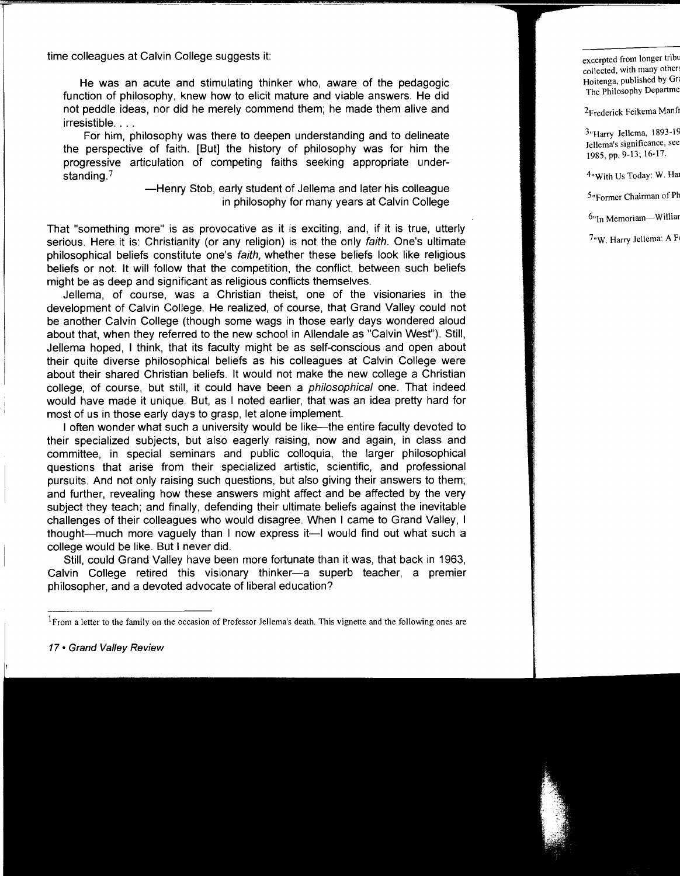time colleagues at Calvin College suggests it:

He was an acute and stimulating thinker who, aware of the pedagogic function of philosophy, knew how to elicit mature and viable answers. He did not peddle ideas, nor did he merely commend them; he made them alive and irresistible ....

For him, philosophy was there to deepen understanding and to delineate the perspective of faith. [But] the history of philosophy was for him the progressive articulation of competing faiths seeking appropriate understanding.7

> -Henry Stob, early student of Jellema and later his colleague in philosophy for many years at Calvin College

That "something more" is as provocative as it is exciting, and, if it is true, utterly serious. Here it is: Christianity (or any religion) is not the only faith. One's ultimate philosophical beliefs constitute one's faith, whether these beliefs look like religious beliefs or not. It will follow that the competition, the conflict, between such beliefs might be as deep and significant as religious conflicts themselves.

Jellema, of course, was a Christian theist, one of the visionaries in the development of Calvin College. He realized, of course, that Grand Valley could not be another Calvin College (though some wags in those early days wondered aloud about that, when they referred to the new school in Allendale as "Calvin West"). Still, Jellema hoped, I think, that its faculty might be as self-conscious and open about their quite diverse philosophical beliefs as his colleagues at Calvin College were about their shared Christian beliefs. It would not make the new college a Christian college, of course, but still, it could have been a philosophical one. That indeed would have made it unique. But, as I noted earlier, that was an idea pretty hard for most of us in those early days to grasp, let alone implement

I often wonder what such a university would be like--the entire faculty devoted to their specialized subjects, but also eagerly raising, now and again, in class and committee, in special seminars and public colloquia, the larger philosophical questions that arise from their specialized artistic, scientific, and professional pursuits. And not only raising such questions, but also giving their answers to them; and further, revealing how these answers might affect and be affected by the very subject they teach; and finally, defending their ultimate beliefs against the inevitable challenges of their colleagues who would disagree. When I came to Grand Valley, I thought-much more vaguely than I now express it-I would find out what such a college would be like. But I never did.

Still, could Grand Valley have been more fortunate than it was, that back in 1963, Calvin College retired this visionary thinker-a superb teacher, a premier philosopher, and a devoted advocate of liberal education?

 $<sup>1</sup>$  From a letter to the family on the occasion of Professor Jellema's death. This vignette and the following ones are</sup>